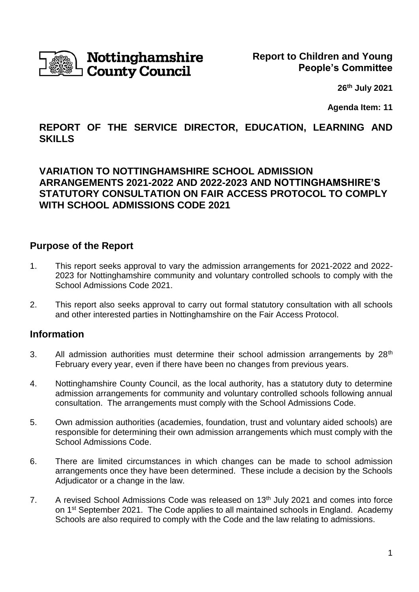

# Nottinghamshire **County Council**

**26th July 2021**

**Agenda Item: 11**

# **REPORT OF THE SERVICE DIRECTOR, EDUCATION, LEARNING AND SKILLS**

# **VARIATION TO NOTTINGHAMSHIRE SCHOOL ADMISSION ARRANGEMENTS 2021-2022 AND 2022-2023 AND NOTTINGHAMSHIRE'S STATUTORY CONSULTATION ON FAIR ACCESS PROTOCOL TO COMPLY WITH SCHOOL ADMISSIONS CODE 2021**

### **Purpose of the Report**

- 1. This report seeks approval to vary the admission arrangements for 2021-2022 and 2022- 2023 for Nottinghamshire community and voluntary controlled schools to comply with the School Admissions Code 2021.
- 2. This report also seeks approval to carry out formal statutory consultation with all schools and other interested parties in Nottinghamshire on the Fair Access Protocol.

# **Information**

- 3. All admission authorities must determine their school admission arrangements by  $28<sup>th</sup>$ February every year, even if there have been no changes from previous years.
- 4. Nottinghamshire County Council, as the local authority, has a statutory duty to determine admission arrangements for community and voluntary controlled schools following annual consultation. The arrangements must comply with the School Admissions Code.
- 5. Own admission authorities (academies, foundation, trust and voluntary aided schools) are responsible for determining their own admission arrangements which must comply with the School Admissions Code.
- 6. There are limited circumstances in which changes can be made to school admission arrangements once they have been determined. These include a decision by the Schools Adjudicator or a change in the law.
- 7. A revised School Admissions Code was released on  $13<sup>th</sup>$  July 2021 and comes into force on 1<sup>st</sup> September 2021. The Code applies to all maintained schools in England. Academy Schools are also required to comply with the Code and the law relating to admissions.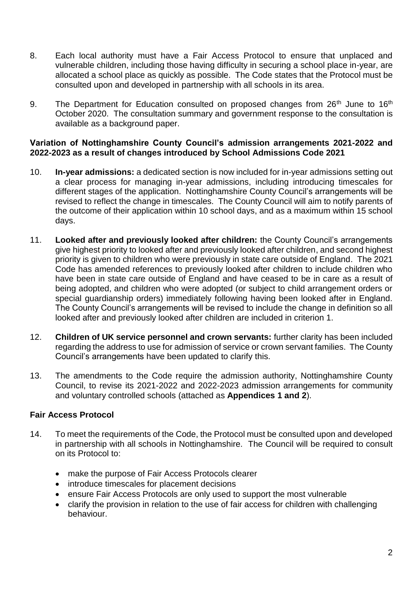- 8. Each local authority must have a Fair Access Protocol to ensure that unplaced and vulnerable children, including those having difficulty in securing a school place in-year, are allocated a school place as quickly as possible. The Code states that the Protocol must be consulted upon and developed in partnership with all schools in its area.
- 9. The Department for Education consulted on proposed changes from  $26<sup>th</sup>$  June to  $16<sup>th</sup>$ October 2020. The consultation summary and government response to the consultation is available as a background paper.

#### **Variation of Nottinghamshire County Council's admission arrangements 2021-2022 and 2022-2023 as a result of changes introduced by School Admissions Code 2021**

- 10. **In-year admissions:** a dedicated section is now included for in-year admissions setting out a clear process for managing in-year admissions, including introducing timescales for different stages of the application. Nottinghamshire County Council's arrangements will be revised to reflect the change in timescales. The County Council will aim to notify parents of the outcome of their application within 10 school days, and as a maximum within 15 school days.
- 11. **Looked after and previously looked after children:** the County Council's arrangements give highest priority to looked after and previously looked after children, and second highest priority is given to children who were previously in state care outside of England. The 2021 Code has amended references to previously looked after children to include children who have been in state care outside of England and have ceased to be in care as a result of being adopted, and children who were adopted (or subject to child arrangement orders or special guardianship orders) immediately following having been looked after in England. The County Council's arrangements will be revised to include the change in definition so all looked after and previously looked after children are included in criterion 1.
- 12. **Children of UK service personnel and crown servants:** further clarity has been included regarding the address to use for admission of service or crown servant families. The County Council's arrangements have been updated to clarify this.
- 13. The amendments to the Code require the admission authority, Nottinghamshire County Council, to revise its 2021-2022 and 2022-2023 admission arrangements for community and voluntary controlled schools (attached as **Appendices 1 and 2**).

### **Fair Access Protocol**

- 14. To meet the requirements of the Code, the Protocol must be consulted upon and developed in partnership with all schools in Nottinghamshire. The Council will be required to consult on its Protocol to:
	- make the purpose of Fair Access Protocols clearer
	- introduce timescales for placement decisions
	- ensure Fair Access Protocols are only used to support the most vulnerable
	- clarify the provision in relation to the use of fair access for children with challenging behaviour.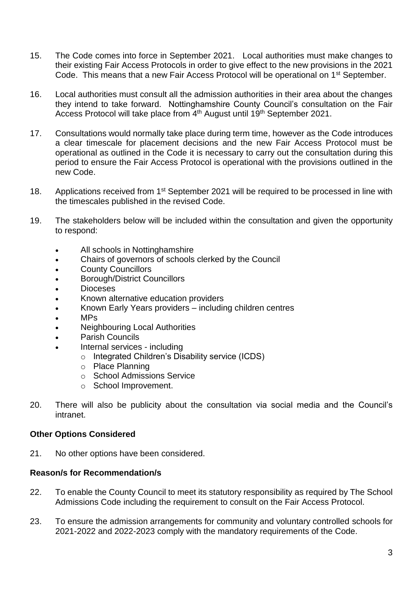- 15. The Code comes into force in September 2021. Local authorities must make changes to their existing Fair Access Protocols in order to give effect to the new provisions in the 2021 Code. This means that a new Fair Access Protocol will be operational on 1<sup>st</sup> September.
- 16. Local authorities must consult all the admission authorities in their area about the changes they intend to take forward. Nottinghamshire County Council's consultation on the Fair Access Protocol will take place from 4<sup>th</sup> August until 19<sup>th</sup> September 2021.
- 17. Consultations would normally take place during term time, however as the Code introduces a clear timescale for placement decisions and the new Fair Access Protocol must be operational as outlined in the Code it is necessary to carry out the consultation during this period to ensure the Fair Access Protocol is operational with the provisions outlined in the new Code.
- 18. Applications received from 1<sup>st</sup> September 2021 will be required to be processed in line with the timescales published in the revised Code.
- 19. The stakeholders below will be included within the consultation and given the opportunity to respond:
	- All schools in Nottinghamshire
	- Chairs of governors of schools clerked by the Council
	- County Councillors
	- Borough/District Councillors
	- Dioceses
	- Known alternative education providers
	- Known Early Years providers including children centres
	- MPs
	- Neighbouring Local Authorities
	- Parish Councils
	- Internal services including
		- o Integrated Children's Disability service (ICDS)
		- o Place Planning
		- o School Admissions Service
		- o School Improvement.
- 20. There will also be publicity about the consultation via social media and the Council's intranet.

#### **Other Options Considered**

21. No other options have been considered.

#### **Reason/s for Recommendation/s**

- 22. To enable the County Council to meet its statutory responsibility as required by The School Admissions Code including the requirement to consult on the Fair Access Protocol.
- 23. To ensure the admission arrangements for community and voluntary controlled schools for 2021-2022 and 2022-2023 comply with the mandatory requirements of the Code.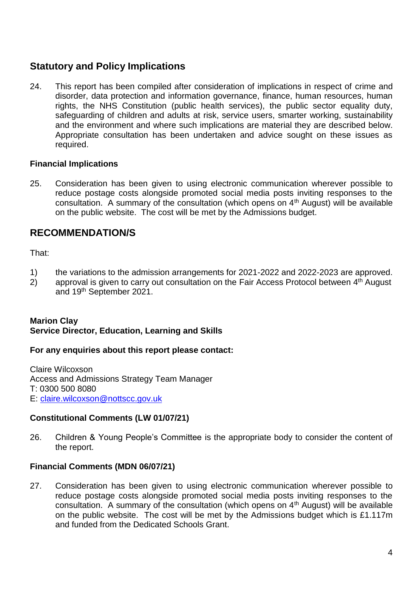# **Statutory and Policy Implications**

24. This report has been compiled after consideration of implications in respect of crime and disorder, data protection and information governance, finance, human resources, human rights, the NHS Constitution (public health services), the public sector equality duty, safeguarding of children and adults at risk, service users, smarter working, sustainability and the environment and where such implications are material they are described below. Appropriate consultation has been undertaken and advice sought on these issues as required.

### **Financial Implications**

25. Consideration has been given to using electronic communication wherever possible to reduce postage costs alongside promoted social media posts inviting responses to the consultation. A summary of the consultation (which opens on  $4<sup>th</sup>$  August) will be available on the public website. The cost will be met by the Admissions budget.

# **RECOMMENDATION/S**

That:

- 1) the variations to the admission arrangements for 2021-2022 and 2022-2023 are approved.
- 2) approval is given to carry out consultation on the Fair Access Protocol between 4<sup>th</sup> August and 19th September 2021.

### **Marion Clay Service Director, Education, Learning and Skills**

#### **For any enquiries about this report please contact:**

Claire Wilcoxson Access and Admissions Strategy Team Manager T: 0300 500 8080 E: [claire.wilcoxson@nottscc.gov.uk](mailto:claire.wilcoxson@nottscc.gov.uk)

#### **Constitutional Comments (LW 01/07/21)**

26. Children & Young People's Committee is the appropriate body to consider the content of the report.

### **Financial Comments (MDN 06/07/21)**

27. Consideration has been given to using electronic communication wherever possible to reduce postage costs alongside promoted social media posts inviting responses to the consultation. A summary of the consultation (which opens on  $4<sup>th</sup>$  August) will be available on the public website. The cost will be met by the Admissions budget which is £1.117m and funded from the Dedicated Schools Grant.